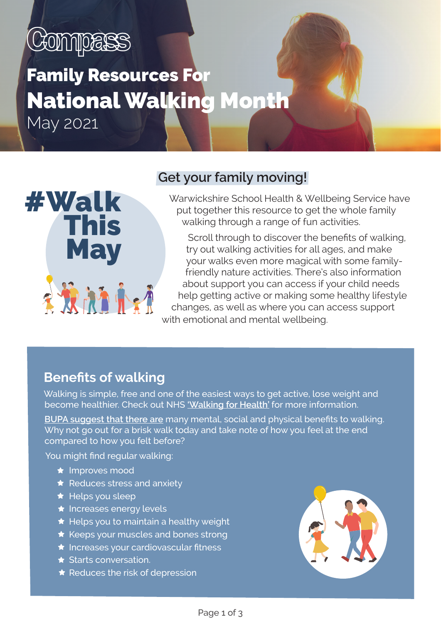# CONNPERS

# Family Resources For National Walking Month

May 2021



## **Get your family moving!**

Warwickshire School Health & Wellbeing Service have put together this resource to get the whole family walking through a range of fun activities.

 Scroll through to discover the benefits of walking, try out walking activities for all ages, and make your walks even more magical with some familyfriendly nature activities. There's also information about support you can access if your child needs help getting active or making some healthy lifestyle changes, as well as where you can access support with emotional and mental wellbeing.

## **Benefits of walking**

Walking is simple, free and one of the easiest ways to get active, lose weight and become healthier. Check out NHS **['Walking for Health'](https://www.nhs.uk/live-well/exercise/walking-for-health/)** for more information.

**[BUPA suggest that there are](https://www.bupa.co.uk/newsroom/ourviews/walking-health)** many mental, social and physical benefits to walking. Why not go out for a brisk walk today and take note of how you feel at the end compared to how you felt before?

You might find regular walking:

- $\star$  Improves mood
- $\bigstar$  Reduces stress and anxiety
- $\bigstar$  Helps you sleep
- $\star$  Increases energy levels
- $\bigstar$  Helps you to maintain a healthy weight
- $\star$  Keeps your muscles and bones strong
- $\star$  Increases your cardiovascular fitness
- $\star$  Starts conversation.
- $\star$  Reduces the risk of depression

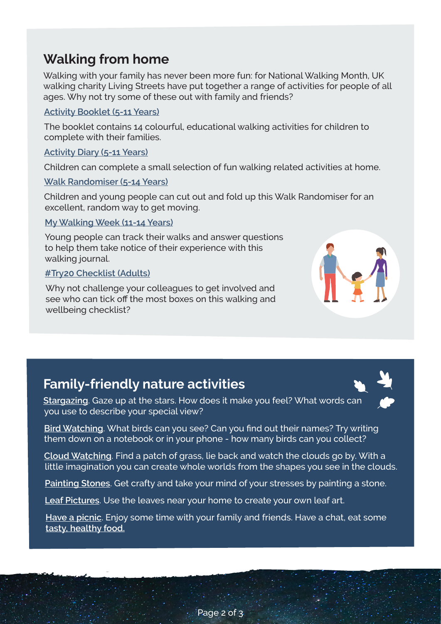## **Walking from home**

Walking with your family has never been more fun: for National Walking Month, UK walking charity Living Streets have put together a range of activities for people of all ages. Why not try some of these out with family and friends?

#### **Activity [Booklet \(5-11 Years\)](https://www.livingstreets.org.uk/media/5451/family-resource-booklet_final.pdf)**

The booklet contains 14 colourful, educational walking activities for children to complete with their families.

#### **[Activity Diary \(5-11 Years\)](https://www.livingstreets.org.uk/media/6008/activity-diary-during-lockdown.pdf)**

Children can complete a small selection of fun walking related activities at home.

#### **[Walk Randomiser \(5-14 Years\)](https://www.livingstreets.org.uk/media/5396/walking-randomiser-for-printing.pdf)**

Children and young people can cut out and fold up this Walk Randomiser for an excellent, random way to get moving.

#### **[My Walking Week \(11-14 Years\)](https://www.livingstreets.org.uk/media/5361/ls-my-walking-week-final.pdf)**

Young people can track their walks and answer questions to help them take notice of their experience with this walking journal.

#### **[#Try20 Checklist \(Adults\)](https://www.livingstreets.org.uk/media/6018/try20-checklist-standard-branding.pdf)**

Why not challenge your colleagues to get involved and see who can tick off the most boxes on this walking and wellbeing checklist?



## **Family-friendly nature activities**

**[Stargazing](https://www.nationaltrust.org.uk/features/top-tips-for-stargazing)**. Gaze up at the stars. How does it make you feel? What words can you use to describe your special view?



**[Bird Watching](https://www.wildlifewatch.org.uk/sites/default/files/2020-07/gbirds.jpg)**. What birds can you see? Can you find out their names? Try writing them down on a notebook or in your phone - how many birds can you collect?

**[Cloud Watching](https://www.nationaltrust.org.uk/features/no-33-go-cloud-watching)**. Find a patch of grass, lie back and watch the clouds go by. With a little imagination you can create whole worlds from the shapes you see in the clouds.

**[Painting Stones](https://www.youtube.com/watch?v=yL_AwJ3KiSM)**. Get crafty and take your mind of your stresses by painting a stone.

**[Leaf Pictures](https://www.youtube.com/watch?v=7kIYABvcvCo)**. Use the leaves near your home to create your own leaf art.

**[Have a picnic](https://www.nationaltrust.org.uk/lists/picnics-in-and-around-warwickshire)**. Enjoy some time with your family and friends. Have a chat, eat some **[tasty, healthy food](https://www.bbcgoodfood.com/recipes/collection/healthy-picnic-recipes).**